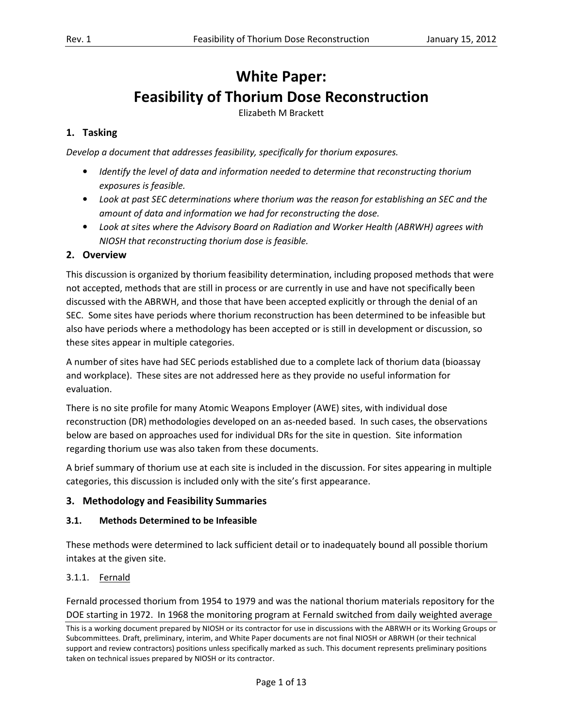# White Paper: Feasibility of Thorium Dose Reconstruction

Elizabeth M Brackett

# 1. Tasking

Develop a document that addresses feasibility, specifically for thorium exposures.

- Identify the level of data and information needed to determine that reconstructing thorium exposures is feasible.
- Look at past SEC determinations where thorium was the reason for establishing an SEC and the amount of data and information we had for reconstructing the dose.
- Look at sites where the Advisory Board on Radiation and Worker Health (ABRWH) agrees with NIOSH that reconstructing thorium dose is feasible.

## 2. Overview

 This discussion is organized by thorium feasibility determination, including proposed methods that were not accepted, methods that are still in process or are currently in use and have not specifically been discussed with the ABRWH, and those that have been accepted explicitly or through the denial of an SEC. Some sites have periods where thorium reconstruction has been determined to be infeasible but also have periods where a methodology has been accepted or is still in development or discussion, so these sites appear in multiple categories.

 A number of sites have had SEC periods established due to a complete lack of thorium data (bioassay and workplace). These sites are not addressed here as they provide no useful information for evaluation.

evaluation.<br>There is no site profile for many Atomic Weapons Employer (AWE) sites, with individual dose reconstruction (DR) methodologies developed on an as-needed based. In such cases, the observations below are based on approaches used for individual DRs for the site in question. Site information regarding thorium use was also taken from these documents.

 A brief summary of thorium use at each site is included in the discussion. For sites appearing in multiple categories, this discussion is included only with the site's first appearance.

# 3. Methodology and Feasibility Summaries

#### 3.1. Methods Determined to be Infeasible

 These methods were determined to lack sufficient detail or to inadequately bound all possible thorium intakes at the given site.

# 3.1.1. Fernald

3.1.1. Fernald<br>Fernald processed thorium from 1954 to 1979 and was the national thorium materials repository for the DOE starting in 1972. In 1968 the monitoring program at Fernald switched from daily weighted average

This is a working document prepared by NIOSH or its contractor for use in discussions with the ABRWH or its Working Groups o r Subcommittees. Draft, preliminary, interim, and White Paper documents are not final NIOSH or ABRWH (or their technical support and review contractors) positions unless specifically marked as such. This document represents preliminary positions taken on technical issues prepared by NIOSH or its contractor.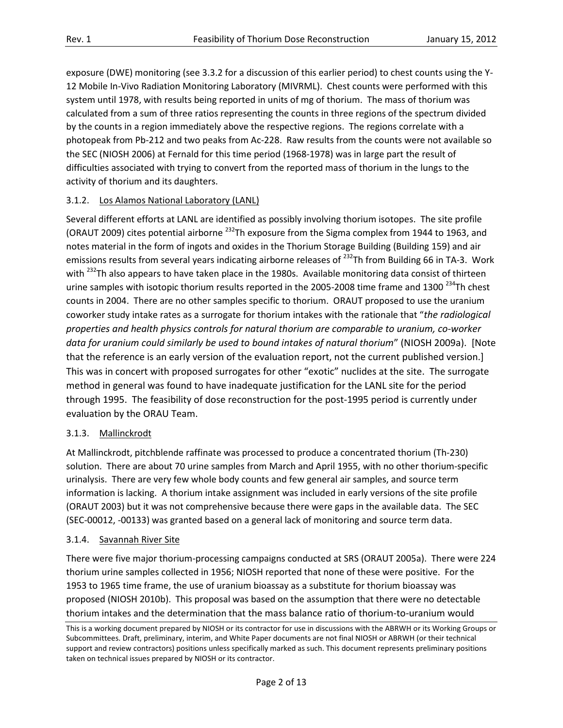exposure (DWE) monitoring (see 3.3.2 for a discussion of this earlier period) to chest counts using the Y- 12 Mobile In-Vivo Radiation Monitoring Laboratory (MIVRML). Chest counts were performed with this system until 1978, with results being reported in units of mg of thorium. The mass of thorium was calculated from a sum of three ratios representing the counts in three regions of the spectrum divided by the counts in a region immediately above the respective regions. The regions correlate with a photopeak from Pb-212 and two peaks from Ac-228. Raw results from the counts were not available so the SEC (NIOSH 2006) at Fernald for this time period (1968-1978) was in large part the result of difficulties associated with trying to convert from the reported mass of thorium in the lungs to the activity of thorium and its daughters.

# 3.1.2. Los Alamos National Laboratory (LANL)

 Several different efforts at LANL are identified as possibly involving thorium isotopes. The site profile (ORAUT 2009) cites potential airborne <sup>232</sup>Th exposure from the Sigma complex from 1944 to 1963, and notes material in the form of ingots and oxides in the Thorium Storage Building (Building 159) and air emissions results from several years indicating airborne releases of <sup>232</sup>Th from Building 66 in TA-3. Work with <sup>232</sup>Th also appears to have taken place in the 1980s. Available monitoring data consist of thirteen urine samples with isotopic thorium results reported in the 2005-2008 time frame and 1300<sup>234</sup>Th chest counts in 2004. There are no other samples specific to thorium. ORAUT proposed to use the uranium coworker study intake rates as a surrogate for thorium intakes with the rationale that "the radiological properties and health physics controls for natural thorium are comparable to uranium, co-worker data for uranium could similarly be used to bound intakes of natural thorium" (NIOSH 2009a). [Note that the reference is an early version of the evaluation report, not the current published version.] This was in concert with proposed surrogates for other "exotic" nuclides at the site. The surrogate method in general was found to have inadequate justification for the LANL site for the period through 1995. The feasibility of dose reconstruction for the post-1995 period is currently under evaluation by the ORAU Team.

#### 3.1.3. Mallinckrodt

3.1.3. Mallinckrodt<br>At Mallinckrodt, pitchblende raffinate was processed to produce a concentrated thorium (Th-230) solution. There are about 70 urine samples from March and April 1955, with no other thorium-specific urinalysis. There are very few whole body counts and few general air samples, and source term information is lacking. A thorium intake assignment was included in early versions of the site profile (ORAUT 2003) but it was not comprehensive because there were gaps in the available data. The SEC (SEC-00012, -00133) was granted based on a general lack of monitoring and source term data.

#### 3.1.4. Savannah River Site

 There were five major thorium-processing campaigns conducted at SRS (ORAUT 2005a). There were 224 thorium urine samples collected in 1956; NIOSH reported that none of these were positive. For the 1953 to 1965 time frame, the use of uranium bioassay as a substitute for thorium bioassay was proposed (NIOSH 2010b). This proposal was based on the assumption that there were no detectable thorium intakes and the determination that the mass balance ratio of thorium-to-uranium would

 This is a working document prepared by NIOSH or its contractor for use in discussions with the ABRWH or its Working Groups or Subcommittees. Draft, preliminary, interim, and White Paper documents are not final NIOSH or ABRWH (or their technical support and review contractors) positions unless specifically marked as such. This document represents preliminary positions taken on technical issues prepared by NIOSH or its contractor.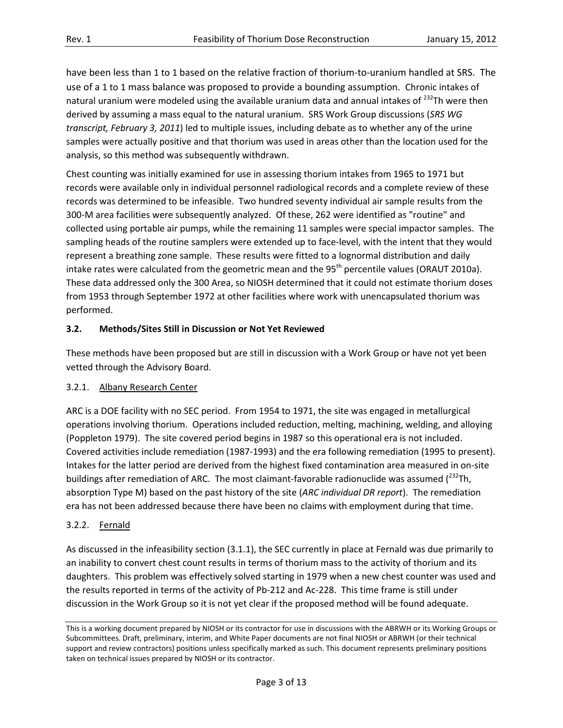have been less than 1 to 1 based on the relative fraction of thorium-to-uranium handled at SRS. The use of a 1 to 1 mass balance was proposed to provide a bounding assumption. Chronic intakes of natural uranium were modeled using the available uranium data and annual intakes of  $^{232}$ Th were then derived by assuming a mass equal to the natural uranium. SRS Work Group discussions (SRS WG transcript, February 3, 2011) led to multiple issues, including debate as to whether any of the urine samples were actually positive and that thorium was used in areas other than the location used for the analysis, so this method was subsequently withdrawn.

 Chest counting was initially examined for use in assessing thorium intakes from 1965 to 1971 but records were available only in individual personnel radiological records and a complete review of these records was determined to be infeasible. Two hundred seventy individual air sample results from the 300-M area facilities were subsequently analyzed. Of these, 262 were identified as "routine" and collected using portable air pumps, while the remaining 11 samples were special impactor samples. The sampling heads of the routine samplers were extended up to face-level, with the intent that they would represent a breathing zone sample. These results were fitted to a lognormal distribution and daily intake rates were calculated from the geometric mean and the 95<sup>th</sup> percentile values (ORAUT 2010a). These data addressed only the 300 Area, so NIOSH determined that it could not estimate thorium doses from 1953 through September 1972 at other facilities where work with unencapsulated thorium was performed.

## 3.2. Methods/Sites Still in Discussion or Not Yet Reviewed

 These methods have been proposed but are still in discussion with a Work Group or have not yet been vetted through the Advisory Board.

#### 3.2.1. Albany Research Center

 ARC is a DOE facility with no SEC period. From 1954 to 1971, the site was engaged in metallurgical operations involving thorium. Operations included reduction, melting, machining, welding, and alloying (Poppleton 1979). The site covered period begins in 1987 so this operational era is not included. Covered activities include remediation (1987-1993) and the era following remediation (1995 to present). Intakes for the latter period are derived from the highest fixed contamination area measured in on-site buildings after remediation of ARC. The most claimant-favorable radionuclide was assumed ( $^{232}$ Th, absorption Type M) based on the past history of the site (ARC individual DR report). The remediation era has not been addressed because there have been no claims with employment during that time.

#### 3.2.2. Fernald

3.2.2. Fernald<br>As discussed in the infeasibility section (3.1.1), the SEC currently in place at Fernald was due primarily to an inability to convert chest count results in terms of thorium mass to the activity of thorium and its daughters. This problem was effectively solved starting in 1979 when a new chest counter was used and the results reported in terms of the activity of Pb-212 and Ac-228. This time frame is still under discussion in the Work Group so it is not yet clear if the proposed method will be found adequate.

 This is a working document prepared by NIOSH or its contractor for use in discussions with the ABRWH or its Working Groups or Subcommittees. Draft, preliminary, interim, and White Paper documents are not final NIOSH or ABRWH (or their technical support and review contractors) positions unless specifically marked as such. This document represents preliminary positions taken on technical issues prepared by NIOSH or its contractor.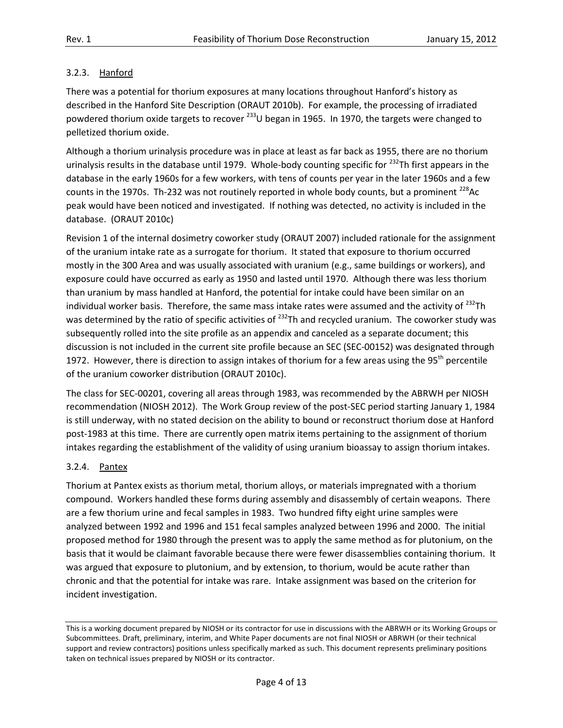# 3.2.3. Hanford

3.2.3. hetanford<br>There was a potential for thorium exposures at many locations throughout Hanford's history as described in the Hanford Site Description (ORAUT 2010b). For example, the processing of irradiated powdered thorium oxide targets to recover <sup>233</sup>U began in 1965. In 1970, the targets were changed to pelletized thorium oxide.

 Although a thorium urinalysis procedure was in place at least as far back as 1955, there are no thorium urinalysis results in the database until 1979. Whole-body counting specific for <sup>232</sup>Th first appears in the database in the early 1960s for a few workers, with tens of counts per year in the later 1960s and a few counts in the 1970s. Th-232 was not routinely reported in whole body counts, but a prominent  $^{228}$ Ac peak would have been noticed and investigated. If nothing was detected, no activity is included in the database. (ORAUT 2010c)

 Revision 1 of the internal dosimetry coworker study (ORAUT 2007) included rationale for the assignment of the uranium intake rate as a surrogate for thorium. It stated that exposure to thorium occurred mostly in the 300 Area and was usually associated with uranium (e.g., same buildings or workers), and exposure could have occurred as early as 1950 and lasted until 1970. Although there was less thorium than uranium by mass handled at Hanford, the potential for intake could have been similar on an individual worker basis. Therefore, the same mass intake rates were assumed and the activity of  $^{232}$ Th was determined by the ratio of specific activities of <sup>232</sup>Th and recycled uranium. The coworker study was subsequently rolled into the site profile as an appendix and canceled as a separate document; this discussion is not included in the current site profile because an SEC (SEC-00152) was designated through 1972. However, there is direction to assign intakes of thorium for a few areas using the 95<sup>th</sup> percentile of the uranium coworker distribution (ORAUT 2010c).

 The class for SEC-00201, covering all areas through 1983, was recommended by the ABRWH per NIOSH recommendation (NIOSH 2012). The Work Group review of the post-SEC period starting January 1, 1984 is still underway, with no stated decision on the ability to bound or reconstruct thorium dose at Hanford post-1983 at this time. There are currently open matrix items pertaining to the assignment of thorium intakes regarding the establishment of the validity of using uranium bioassay to assign thorium intakes.

#### 3.2.4. Pantex

 Thorium at Pantex exists as thorium metal, thorium alloys, or materials impregnated with a thorium compound. Workers handled these forms during assembly and disassembly of certain weapons. There are a few thorium urine and fecal samples in 1983. Two hundred fifty eight urine samples were analyzed between 1992 and 1996 and 151 fecal samples analyzed between 1996 and 2000. The initial proposed method for 1980 through the present was to apply the same method as for plutonium, on the basis that it would be claimant favorable because there were fewer disassemblies containing thorium. It was argued that exposure to plutonium, and by extension, to thorium, would be acute rather than chronic and that the potential for intake was rare. Intake assignment was based on the criterion for incident investigation.

 This is a working document prepared by NIOSH or its contractor for use in discussions with the ABRWH or its Working Groups or Subcommittees. Draft, preliminary, interim, and White Paper documents are not final NIOSH or ABRWH (or their technical support and review contractors) positions unless specifically marked as such. This document represents preliminary positions taken on technical issues prepared by NIOSH or its contractor.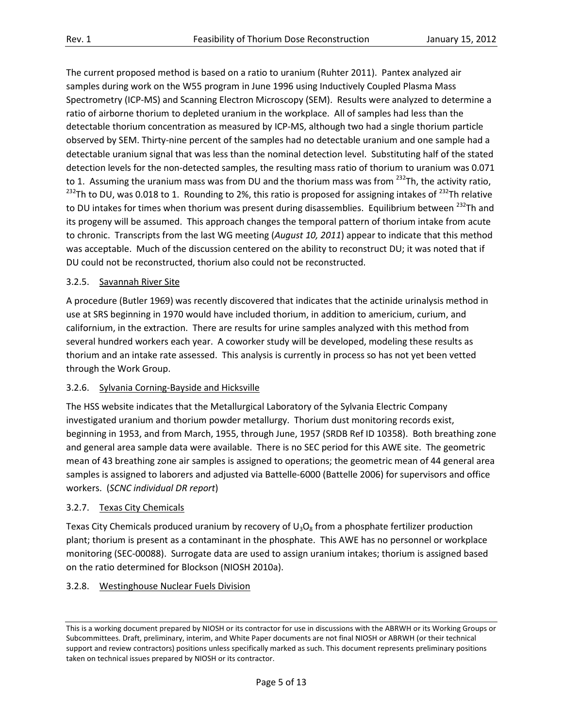The current proposed method is based on a ratio to uranium (Ruhter 2011). Pantex analyzed air samples during work on the W55 program in June 1996 using Inductively Coupled Plasma Mass Spectrometry (ICP-MS) and Scanning Electron Microscopy (SEM). Results were analyzed to determine a ratio of airborne thorium to depleted uranium in the workplace. All of samples had less than the detectable thorium concentration as measured by ICP-MS, although two had a single thorium particle observed by SEM. Thirty-nine percent of the samples had no detectable uranium and one sample had a detectable uranium signal that was less than the nominal detection level. Substituting half of the stated detection levels for the non-detected samples, the resulting mass ratio of thorium to uranium was 0.071 to 1. Assuming the uranium mass was from DU and the thorium mass was from <sup>232</sup>Th, the activity ratio, <sup>232</sup>Th to DU, was 0.018 to 1. Rounding to 2%, this ratio is proposed for assigning intakes of <sup>232</sup>Th relative to DU intakes for times when thorium was present during disassemblies. Equilibrium between <sup>232</sup>Th and its progeny will be assumed. This approach changes the temporal pattern of thorium intake from acute to chronic. Transcripts from the last WG meeting (August 10, 2011) appear to indicate that this method was acceptable. Much of the discussion centered on the ability to reconstruct DU; it was noted that if DU could not be reconstructed, thorium also could not be reconstructed.

## 3.2.5. Savannah River Site

 A procedure (Butler 1969) was recently discovered that indicates that the actinide urinalysis method in use at SRS beginning in 1970 would have included thorium, in addition to americium, curium, and californium, in the extraction. There are results for urine samples analyzed with this method from several hundred workers each year. A coworker study will be developed, modeling these results as thorium and an intake rate assessed. This analysis is currently in process so has not yet been vetted through the Work Group.

#### 3.2.6. Sylvania Corning-Bayside and Hicksville

 The HSS website indicates that the Metallurgical Laboratory of the Sylvania Electric Company investigated uranium and thorium powder metallurgy. Thorium dust monitoring records exist, beginning in 1953, and from March, 1955, through June, 1957 (SRDB Ref ID 10358). Both breathing zone and general area sample data were available. There is no SEC period for this AWE site. The geometric mean of 43 breathing zone air samples is assigned to operations; the geometric mean of 44 general area samples is assigned to laborers and adjusted via Battelle-6000 (Battelle 2006) for supervisors and office workers. (SCNC individual DR report)

#### 3.2.7. Texas City Chemicals

Texas City Chemicals produced uranium by recovery of  $U_3O_8$  from a phosphate fertilizer production plant; thorium is present as a contaminant in the phosphate. This AWE has no personnel or workplace monitoring (SEC-00088). Surrogate data are used to assign uranium intakes; thorium is assigned based on the ratio determined for Blockson (NIOSH 2010a).

#### 3.2.8. Westinghouse Nuclear Fuels Division

 This is a working document prepared by NIOSH or its contractor for use in discussions with the ABRWH or its Working Groups or Subcommittees. Draft, preliminary, interim, and White Paper documents are not final NIOSH or ABRWH (or their technical support and review contractors) positions unless specifically marked as such. This document represents preliminary positions taken on technical issues prepared by NIOSH or its contractor.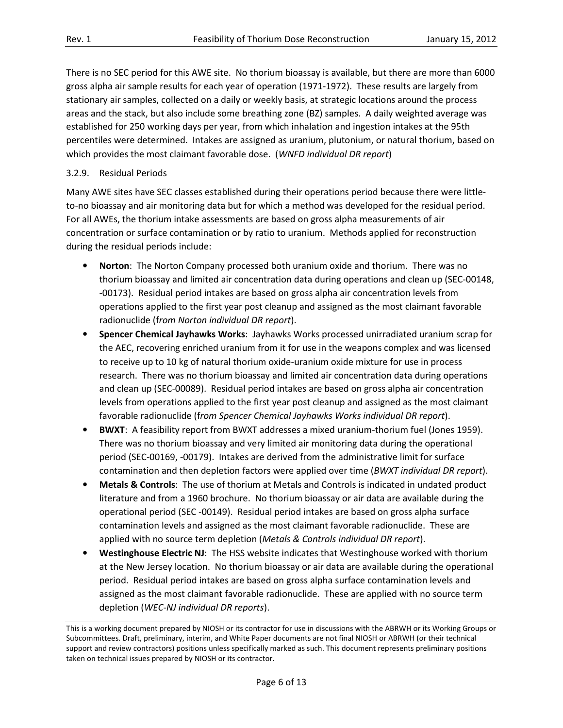There is no SEC period for this AWE site. No thorium bioassay is available, but there are more than 6000 gross alpha air sample results for each year of operation (1971-1972). These results are largely from stationary air samples, collected on a daily or weekly basis, at strategic locations around the process areas and the stack, but also include some breathing zone (BZ) samples. A daily weighted average was established for 250 working days per year, from which inhalation and ingestion intakes at the 95th percentiles were determined. Intakes are assigned as uranium, plutonium, or natural thorium, based on which provides the most claimant favorable dose. (WNFD individual DR report)

## 3.2.9. Residual Periods

 Many AWE sites have SEC classes established during their operations period because there were little- to-no bioassay and air monitoring data but for which a method was developed for the residual period. For all AWEs, the thorium intake assessments are based on gross alpha measurements of air concentration or surface contamination or by ratio to uranium. Methods applied for reconstruction during the residual periods include:

- Norton: The Norton Company processed both uranium oxide and thorium. There was no thorium bioassay and limited air concentration data during operations and clean up (SEC-00148, -00173). Residual period intakes are based on gross alpha air concentration levels from operations applied to the first year post cleanup and assigned as the most claimant favorable radionuclide (from Norton individual DR report).
- **•** Spencer Chemical Jayhawks Works: Jayhawks Works processed unirradiated uranium scrap for the AEC, recovering enriched uranium from it for use in the weapons complex and was licensed to receive up to 10 kg of natural thorium oxide-uranium oxide mixture for use in process research. There was no thorium bioassay and limited air concentration data during operations and clean up (SEC-00089). Residual period intakes are based on gross alpha air concentration levels from operations applied to the first year post cleanup and assigned as the most claimant favorable radionuclide (from Spencer Chemical Jayhawks Works individual DR report).
- BWXT: A feasibility report from BWXT addresses a mixed uranium-thorium fuel (Jones 1959). There was no thorium bioassay and very limited air monitoring data during the operational period (SEC-00169, -00179). Intakes are derived from the administrative limit for surface contamination and then depletion factors were applied over time (BWXT individual DR report).
- Metals & Controls: The use of thorium at Metals and Controls is indicated in undated product literature and from a 1960 brochure. No thorium bioassay or air data are available during the operational period (SEC -00149). Residual period intakes are based on gross alpha surface contamination levels and assigned as the most claimant favorable radionuclide. These are applied with no source term depletion (Metals & Controls individual DR report).
- Westinghouse Electric NJ: The HSS website indicates that Westinghouse worked with thorium at the New Jersey location. No thorium bioassay or air data are available during the operational period. Residual period intakes are based on gross alpha surface contamination levels and assigned as the most claimant favorable radionuclide. These are applied with no source term depletion (WEC-NJ individual DR reports).

 This is a working document prepared by NIOSH or its contractor for use in discussions with the ABRWH or its Working Groups or Subcommittees. Draft, preliminary, interim, and White Paper documents are not final NIOSH or ABRWH (or their technical support and review contractors) positions unless specifically marked as such. This document represents preliminary positions taken on technical issues prepared by NIOSH or its contractor.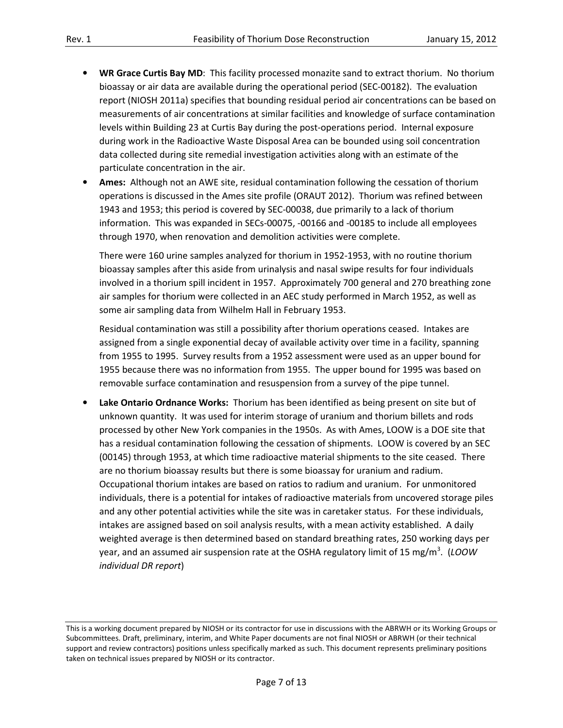- WR Grace Curtis Bay MD: This facility processed monazite sand to extract thorium. No thorium bioassay or air data are available during the operational period (SEC-00182). The evaluation report (NIOSH 2011a) specifies that bounding residual period air concentrations can be based on measurements of air concentrations at similar facilities and knowledge of surface contamination levels within Building 23 at Curtis Bay during the post-operations period. Internal exposure during work in the Radioactive Waste Disposal Area can be bounded using soil concentration data collected during site remedial investigation activities along with an estimate of the particulate concentration in the air.
- Ames: Although not an AWE site, residual contamination following the cessation of thorium operations is discussed in the Ames site profile (ORAUT 2012). Thorium was refined between 1943 and 1953; this period is covered by SEC-00038, due primarily to a lack of thorium information. This was expanded in SECs-00075, -00166 and -00185 to include all employees through 1970, when renovation and demolition activities were complete.

 There were 160 urine samples analyzed for thorium in 1952-1953, with no routine thorium bioassay samples after this aside from urinalysis and nasal swipe results for four individuals involved in a thorium spill incident in 1957. Approximately 700 general and 270 breathing zone air samples for thorium were collected in an AEC study performed in March 1952, as well as some air sampling data from Wilhelm Hall in February 1953.

 Residual contamination was still a possibility after thorium operations ceased. Intakes are assigned from a single exponential decay of available activity over time in a facility, spanning from 1955 to 1995. Survey results from a 1952 assessment were used as an upper bound for 1955 because there was no information from 1955. The upper bound for 1995 was based on removable surface contamination and resuspension from a survey of the pipe tunnel.

• Lake Ontario Ordnance Works: Thorium has been identified as being present on site but of unknown quantity. It was used for interim storage of uranium and thorium billets and rods processed by other New York companies in the 1950s. As with Ames, LOOW is a DOE site that has a residual contamination following the cessation of shipments. LOOW is covered by an SEC (00145) through 1953, at which time radioactive material shipments to the site ceased. There are no thorium bioassay results but there is some bioassay for uranium and radium. Occupational thorium intakes are based on ratios to radium and uranium. For unmonitored individuals, there is a potential for intakes of radioactive materials from uncovered storage piles and any other potential activities while the site was in caretaker status. For these individuals, intakes are assigned based on soil analysis results, with a mean activity established. A daily weighted average is then determined based on standard breathing rates, 250 working days per year, and an assumed air suspension rate at the OSHA regulatory limit of 15 mg/m<sup>3</sup>. (LOOW individual DR report)

 This is a working document prepared by NIOSH or its contractor for use in discussions with the ABRWH or its Working Groups or Subcommittees. Draft, preliminary, interim, and White Paper documents are not final NIOSH or ABRWH (or their technical support and review contractors) positions unless specifically marked as such. This document represents preliminary positions taken on technical issues prepared by NIOSH or its contractor.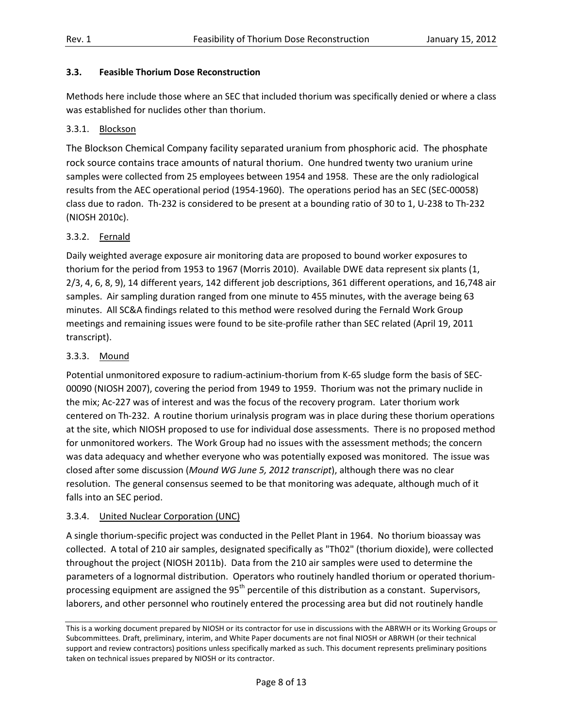#### 3.3. Feasible Thorium Dose Reconstruction

 Methods here include those where an SEC that included thorium was specifically denied or where a class was established for nuclides other than thorium.

#### 3.3.1. Blockson

 The Blockson Chemical Company facility separated uranium from phosphoric acid. The phosphate rock source contains trace amounts of natural thorium. One hundred twenty two uranium urine samples were collected from 25 employees between 1954 and 1958. These are the only radiological results from the AEC operational period (1954-1960). The operations period has an SEC (SEC-00058) class due to radon. Th-232 is considered to be present at a bounding ratio of 30 to 1, U-238 to Th-232 (NIOSH 2010c).

#### 3.3.2. Fernald

 Daily weighted average exposure air monitoring data are proposed to bound worker exposures to thorium for the period from 1953 to 1967 (Morris 2010). Available DWE data represent six plants (1, 2/3, 4, 6, 8, 9), 14 different years, 142 different job descriptions, 361 different operations, and 16,748 air samples. Air sampling duration ranged from one minute to 455 minutes, with the average being 63 minutes. All SC&A findings related to this method were resolved during the Fernald Work Group meetings and remaining issues were found to be site-profile rather than SEC related (April 19, 2011 transcript).

## 3.3.3. Mound

 Potential unmonitored exposure to radium-actinium-thorium from K-65 sludge form the basis of SEC- 00090 (NIOSH 2007), covering the period from 1949 to 1959. Thorium was not the primary nuclide in the mix; Ac-227 was of interest and was the focus of the recovery program. Later thorium work centered on Th-232. A routine thorium urinalysis program was in place during these thorium operations at the site, which NIOSH proposed to use for individual dose assessments. There is no proposed method for unmonitored workers. The Work Group had no issues with the assessment methods; the concern was data adequacy and whether everyone who was potentially exposed was monitored. The issue was closed after some discussion (Mound WG June 5, 2012 transcript), although there was no clear resolution. The general consensus seemed to be that monitoring was adequate, although much of it falls into an SEC period.

#### 3.3.4. United Nuclear Corporation (UNC)

 A single thorium-specific project was conducted in the Pellet Plant in 1964. No thorium bioassay was collected. A total of 210 air samples, designated specifically as "Th02" (thorium dioxide), were collected throughout the project (NIOSH 2011b). Data from the 210 air samples were used to determine the parameters of a lognormal distribution. Operators who routinely handled thorium or operated thoriumprocessing equipment are assigned the 95<sup>th</sup> percentile of this distribution as a constant. Supervisors, laborers, and other personnel who routinely entered the processing area but did not routinely handle

 This is a working document prepared by NIOSH or its contractor for use in discussions with the ABRWH or its Working Groups or Subcommittees. Draft, preliminary, interim, and White Paper documents are not final NIOSH or ABRWH (or their technical support and review contractors) positions unless specifically marked as such. This document represents preliminary positions taken on technical issues prepared by NIOSH or its contractor.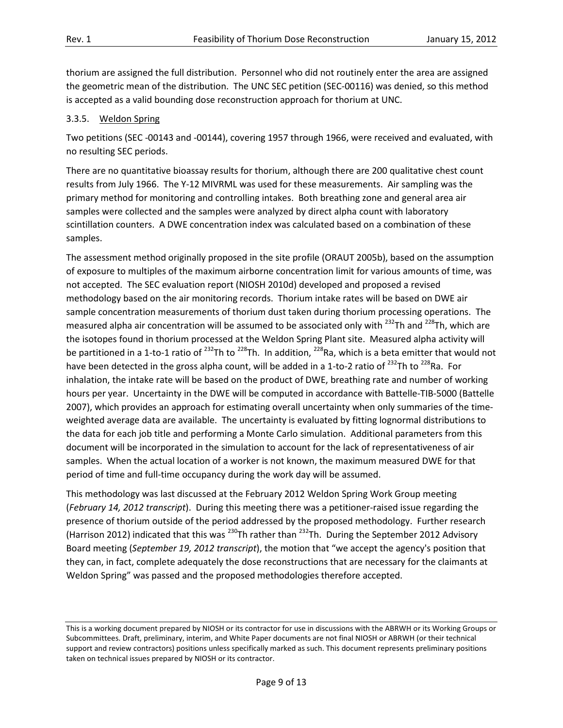thorium are assigned the full distribution. Personnel who did not routinely enter the area are assigned the geometric mean of the distribution. The UNC SEC petition (SEC-00116) was denied, so this method is accepted as a valid bounding dose reconstruction approach for thorium at UNC.

### 3.3.5. Weldon Spring

 Two petitions (SEC -00143 and -00144), covering 1957 through 1966, were received and evaluated, with no resulting SEC periods.

 There are no quantitative bioassay results for thorium, although there are 200 qualitative chest count results from July 1966. The Y-12 MIVRML was used for these measurements. Air sampling was the primary method for monitoring and controlling intakes. Both breathing zone and general area air samples were collected and the samples were analyzed by direct alpha count with laboratory scintillation counters. A DWE concentration index was calculated based on a combination of these samples.

samples.<br>The assessment method originally proposed in the site profile (ORAUT 2005b), based on the assumption of exposure to multiples of the maximum airborne concentration limit for various amounts of time, was not accepted. The SEC evaluation report (NIOSH 2010d) developed and proposed a revised methodology based on the air monitoring records. Thorium intake rates will be based on DWE air sample concentration measurements of thorium dust taken during thorium processing operations. The measured alpha air concentration will be assumed to be associated only with <sup>232</sup>Th and <sup>228</sup>Th, which are the isotopes found in thorium processed at the Weldon Spring Plant site. Measured alpha activity will be partitioned in a 1-to-1 ratio of <sup>232</sup>Th to <sup>228</sup>Th. In addition, <sup>228</sup>Ra, which is a beta emitter that would not have been detected in the gross alpha count, will be added in a 1-to-2 ratio of <sup>232</sup>Th to <sup>228</sup>Ra. For inhalation, the intake rate will be based on the product of DWE, breathing rate and number of working hours per year. Uncertainty in the DWE will be computed in accordance with Battelle-TIB-5000 (Battelle 2007), which provides an approach for estimating overall uncertainty when only summaries of the time- weighted average data are available. The uncertainty is evaluated by fitting lognormal distributions to the data for each job title and performing a Monte Carlo simulation. Additional parameters from this document will be incorporated in the simulation to account for the lack of representativeness of air samples. When the actual location of a worker is not known, the maximum measured DWE for that period of time and full-time occupancy during the work day will be assumed.

 This methodology was last discussed at the February 2012 Weldon Spring Work Group meeting (February 14, 2012 transcript). During this meeting there was a petitioner-raised issue regarding the presence of thorium outside of the period addressed by the proposed methodology. Further research (Harrison 2012) indicated that this was  $^{230}$ Th rather than  $^{232}$ Th. During the September 2012 Advisory Board meeting (September 19, 2012 transcript), the motion that "we accept the agency's position that they can, in fact, complete adequately the dose reconstructions that are necessary for the claimants at Weldon Spring" was passed and the proposed methodologies therefore accepted.

 This is a working document prepared by NIOSH or its contractor for use in discussions with the ABRWH or its Working Groups or Subcommittees. Draft, preliminary, interim, and White Paper documents are not final NIOSH or ABRWH (or their technical support and review contractors) positions unless specifically marked as such. This document represents preliminary positions taken on technical issues prepared by NIOSH or its contractor.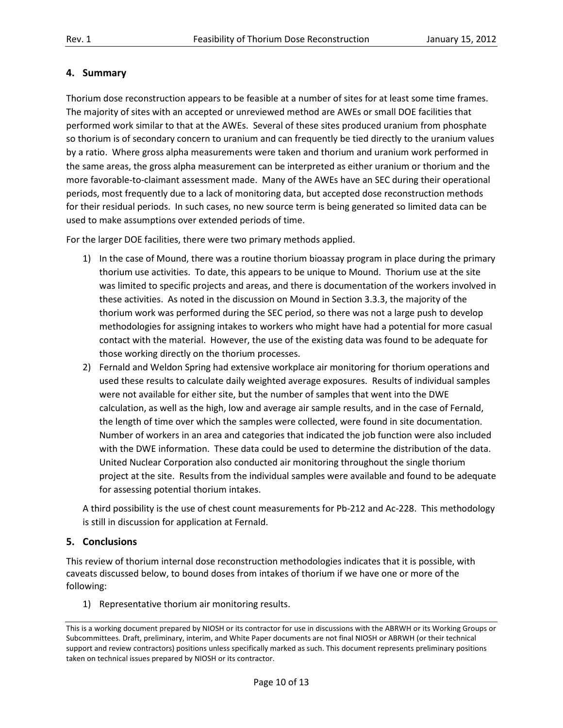# 4. Summary

 Thorium dose reconstruction appears to be feasible at a number of sites for at least some time frames. The majority of sites with an accepted or unreviewed method are AWEs or small DOE facilities that performed work similar to that at the AWEs. Several of these sites produced uranium from phosphate so thorium is of secondary concern to uranium and can frequently be tied directly to the uranium values by a ratio. Where gross alpha measurements were taken and thorium and uranium work performed in the same areas, the gross alpha measurement can be interpreted as either uranium or thorium and the more favorable-to-claimant assessment made. Many of the AWEs have an SEC during their operational periods, most frequently due to a lack of monitoring data, but accepted dose reconstruction methods for their residual periods. In such cases, no new source term is being generated so limited data can be used to make assumptions over extended periods of time.

For the larger DOE facilities, there were two primary methods applied.

- 1) In the case of Mound, there was a routine thorium bioassay program in place during the primary thorium use activities. To date, this appears to be unique to Mound. Thorium use at the site was limited to specific projects and areas, and there is documentation of the workers involved in these activities. As noted in the discussion on Mound in Section 3.3.3, the majority of the thorium work was performed during the SEC period, so there was not a large push to develop methodologies for assigning intakes to workers who might have had a potential for more casual contact with the material. However, the use of the existing data was found to be adequate for those working directly on the thorium processes.
- 2) Fernald and Weldon Spring had extensive workplace air monitoring for thorium operations and used these results to calculate daily weighted average exposures. Results of individual samples were not available for either site, but the number of samples that went into the DWE calculation, as well as the high, low and average air sample results, and in the case of Fernald, the length of time over which the samples were collected, were found in site documentation. Number of workers in an area and categories that indicated the job function were also included with the DWE information. These data could be used to determine the distribution of the data. United Nuclear Corporation also conducted air monitoring throughout the single thorium project at the site. Results from the individual samples were available and found to be adequate for assessing potential thorium intakes.

 A third possibility is the use of chest count measurements for Pb-212 and Ac-228. This methodology is still in discussion for application at Fernald.

#### 5. Conclusions

 This review of thorium internal dose reconstruction methodologies indicates that it is possible, with caveats discussed below, to bound doses from intakes of thorium if we have one or more of the following:

1) Representative thorium air monitoring results.

 This is a working document prepared by NIOSH or its contractor for use in discussions with the ABRWH or its Working Groups or Subcommittees. Draft, preliminary, interim, and White Paper documents are not final NIOSH or ABRWH (or their technical support and review contractors) positions unless specifically marked as such. This document represents preliminary positions taken on technical issues prepared by NIOSH or its contractor.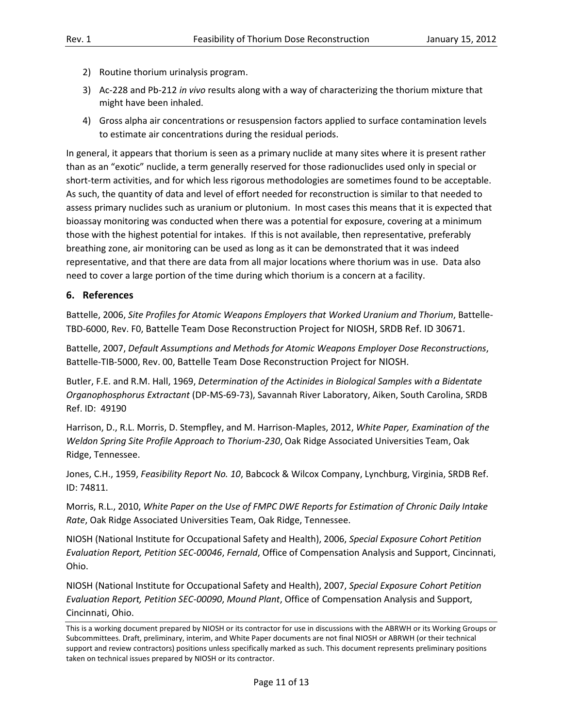- 2) Routine thorium urinalysis program.
- 3) Ac-228 and Pb-212 in vivo results along with a way of characterizing the thorium mixture that might have been inhaled.
- 4) Gross alpha air concentrations or resuspension factors applied to surface contamination levels to estimate air concentrations during the residual periods.

 In general, it appears that thorium is seen as a primary nuclide at many sites where it is present rather than as an "exotic" nuclide, a term generally reserved for those radionuclides used only in special or short-term activities, and for which less rigorous methodologies are sometimes found to be acceptable. As such, the quantity of data and level of effort needed for reconstruction is similar to that needed to assess primary nuclides such as uranium or plutonium. In most cases this means that it is expected that bioassay monitoring was conducted when there was a potential for exposure, covering at a minimum those with the highest potential for intakes. If this is not available, then representative, preferably breathing zone, air monitoring can be used as long as it can be demonstrated that it was indeed representative, and that there are data from all major locations where thorium was in use. Data also need to cover a large portion of the time during which thorium is a concern at a facility.

## 6. References

 Battelle, 2006, Site Profiles for Atomic Weapons Employers that Worked Uranium and Thorium, Battelle-TBD-6000, Rev. F0, Battelle Team Dose Reconstruction Project for NIOSH, SRDB Ref. ID 30671.

 Battelle, 2007, Default Assumptions and Methods for Atomic Weapons Employer Dose Reconstructions, Battelle-TIB-5000, Rev. 00, Battelle Team Dose Reconstruction Project for NIOSH.

 Butler, F.E. and R.M. Hall, 1969, Determination of the Actinides in Biological Samples with a Bidentate Organophosphorus Extractant (DP-MS-69-73), Savannah River Laboratory, Aiken, South Carolina, SRDB Ref. ID: 49190

Harrison, D., R.L. Morris, D. Stempfley, and M. Harrison-Maples, 2012, White Paper, Examination of the Weldon Spring Site Profile Approach to Thorium-230, Oak Ridge Associated Universities Team, Oak Ridge, Tennessee.

Jones, C.H., 1959, Feasibility Report No. 10, Babcock & Wilcox Company, Lynchburg, Virginia, SRDB Ref. ID: 74811.

 Morris, R.L., 2010, White Paper on the Use of FMPC DWE Reports for Estimation of Chronic Daily Intake Rate, Oak Ridge Associated Universities Team, Oak Ridge, Tennessee.

 NIOSH (National Institute for Occupational Safety and Health), 2006, Special Exposure Cohort Petition Evaluation Report, Petition SEC-00046, Fernald, Office of Compensation Analysis and Support, Cincinnati, Ohio.

 NIOSH (National Institute for Occupational Safety and Health), 2007, Special Exposure Cohort Petition Evaluation Report, Petition SEC-00090, Mound Plant, Office of Compensation Analysis and Support, Cincinnati, Ohio.

 This is a working document prepared by NIOSH or its contractor for use in discussions with the ABRWH or its Working Groups or Subcommittees. Draft, preliminary, interim, and White Paper documents are not final NIOSH or ABRWH (or their technical support and review contractors) positions unless specifically marked as such. This document represents preliminary positions taken on technical issues prepared by NIOSH or its contractor.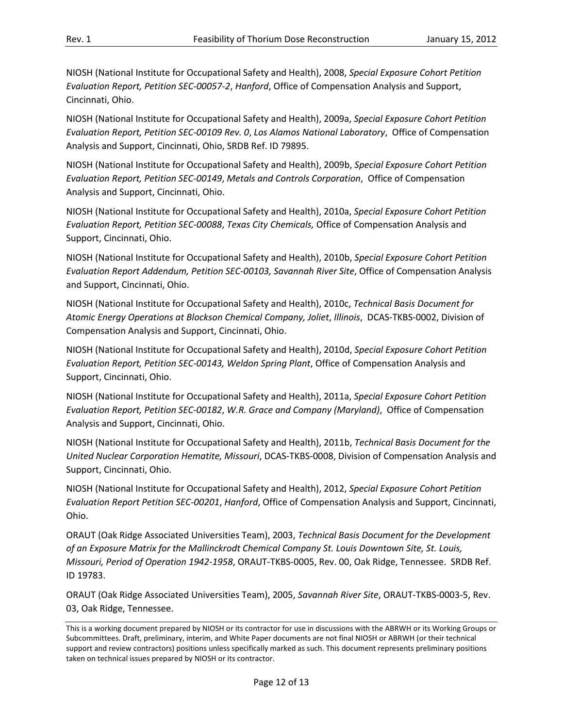NIOSH (National Institute for Occupational Safety and Health), 2008, Special Exposure Cohort Petition Evaluation Report, Petition SEC-00057-2, Hanford, Office of Compensation Analysis and Support, Cincinnati, Ohio.

 NIOSH (National Institute for Occupational Safety and Health), 2009a, Special Exposure Cohort Petition Evaluation Report, Petition SEC-00109 Rev. 0, Los Alamos National Laboratory, Office of Compensation Analysis and Support, Cincinnati, Ohio, SRDB Ref. ID 79895.

 NIOSH (National Institute for Occupational Safety and Health), 2009b, Special Exposure Cohort Petition Evaluation Report, Petition SEC-00149, Metals and Controls Corporation, Office of Compensation Analysis and Support, Cincinnati, Ohio.

 NIOSH (National Institute for Occupational Safety and Health), 2010a, Special Exposure Cohort Petition Evaluation Report, Petition SEC-00088, Texas City Chemicals, Office of Compensation Analysis and Support, Cincinnati, Ohio.

 NIOSH (National Institute for Occupational Safety and Health), 2010b, Special Exposure Cohort Petition Evaluation Report Addendum, Petition SEC-00103, Savannah River Site, Office of Compensation Analysis and Support, Cincinnati, Ohio.

 NIOSH (National Institute for Occupational Safety and Health), 2010c, Technical Basis Document for Atomic Energy Operations at Blockson Chemical Company, Joliet, Illinois, DCAS-TKBS-0002, Division of Compensation Analysis and Support, Cincinnati, Ohio.

 NIOSH (National Institute for Occupational Safety and Health), 2010d, Special Exposure Cohort Petition Evaluation Report, Petition SEC-00143, Weldon Spring Plant, Office of Compensation Analysis and Support, Cincinnati, Ohio.

 NIOSH (National Institute for Occupational Safety and Health), 2011a, Special Exposure Cohort Petition Evaluation Report, Petition SEC-00182, W.R. Grace and Company (Maryland), Office of Compensation Analysis and Support, Cincinnati, Ohio.

 NIOSH (National Institute for Occupational Safety and Health), 2011b, Technical Basis Document for the United Nuclear Corporation Hematite, Missouri, DCAS-TKBS-0008, Division of Compensation Analysis and Support, Cincinnati, Ohio.

 NIOSH (National Institute for Occupational Safety and Health), 2012, Special Exposure Cohort Petition Evaluation Report Petition SEC-00201, Hanford, Office of Compensation Analysis and Support, Cincinnati, Ohio.

 ORAUT (Oak Ridge Associated Universities Team), 2003, Technical Basis Document for the Development of an Exposure Matrix for the Mallinckrodt Chemical Company St. Louis Downtown Site, St. Louis, Missouri, Period of Operation 1942-1958, ORAUT-TKBS-0005, Rev. 00, Oak Ridge, Tennessee. SRDB Ref. ID 19783.

ORAUT (Oak Ridge Associated Universities Team), 2005, Savannah River Site, ORAUT-TKBS-0003-5, Rev. 03, Oak Ridge, Tennessee.

 This is a working document prepared by NIOSH or its contractor for use in discussions with the ABRWH or its Working Groups or Subcommittees. Draft, preliminary, interim, and White Paper documents are not final NIOSH or ABRWH (or their technical support and review contractors) positions unless specifically marked as such. This document represents preliminary positions taken on technical issues prepared by NIOSH or its contractor.